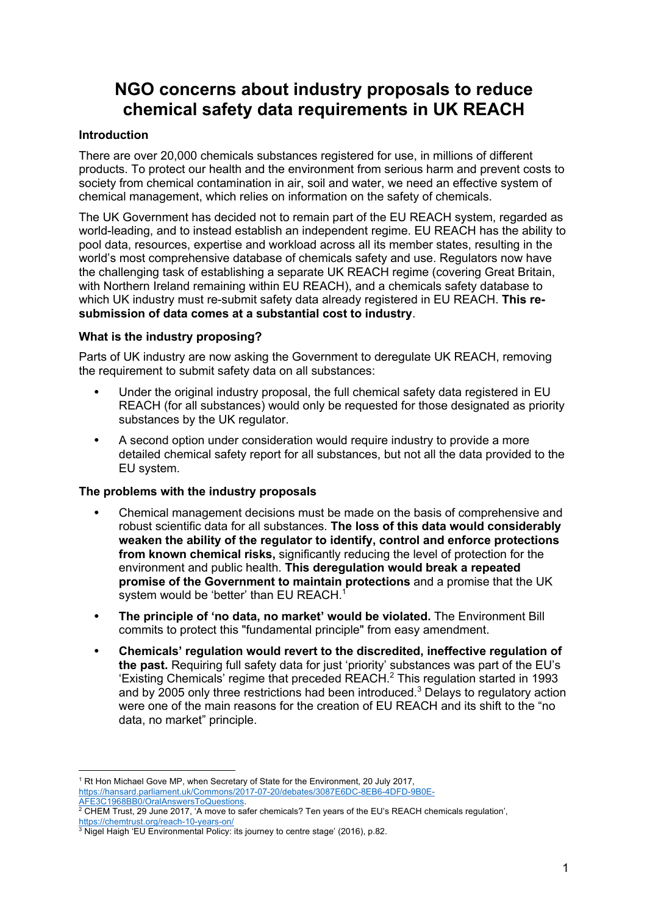# **NGO concerns about industry proposals to reduce chemical safety data requirements in UK REACH**

### **Introduction**

There are over 20,000 chemicals substances registered for use, in millions of different products. To protect our health and the environment from serious harm and prevent costs to society from chemical contamination in air, soil and water, we need an effective system of chemical management, which relies on information on the safety of chemicals.

The UK Government has decided not to remain part of the EU REACH system, regarded as world-leading, and to instead establish an independent regime. EU REACH has the ability to pool data, resources, expertise and workload across all its member states, resulting in the world's most comprehensive database of chemicals safety and use. Regulators now have the challenging task of establishing a separate UK REACH regime (covering Great Britain, with Northern Ireland remaining within EU REACH), and a chemicals safety database to which UK industry must re-submit safety data already registered in EU REACH. **This resubmission of data comes at a substantial cost to industry**.

## **What is the industry proposing?**

Parts of UK industry are now asking the Government to deregulate UK REACH, removing the requirement to submit safety data on all substances:

- **•** Under the original industry proposal, the full chemical safety data registered in EU REACH (for all substances) would only be requested for those designated as priority substances by the UK regulator.
- **•** A second option under consideration would require industry to provide a more detailed chemical safety report for all substances, but not all the data provided to the EU system.

#### **The problems with the industry proposals**

- **•** Chemical management decisions must be made on the basis of comprehensive and robust scientific data for all substances. **The loss of this data would considerably weaken the ability of the regulator to identify, control and enforce protections from known chemical risks,** significantly reducing the level of protection for the environment and public health. **This deregulation would break a repeated promise of the Government to maintain protections** and a promise that the UK system would be 'better' than EU REACH.<sup>1</sup>
- **• The principle of 'no data, no market' would be violated.** The Environment Bill commits to protect this "fundamental principle" from easy amendment.
- **• Chemicals' regulation would revert to the discredited, ineffective regulation of the past.** Requiring full safety data for just 'priority' substances was part of the EU's 'Existing Chemicals' regime that preceded REACH.<sup>2</sup> This regulation started in 1993 and by 2005 only three restrictions had been introduced.<sup>3</sup> Delays to regulatory action were one of the main reasons for the creation of EU REACH and its shift to the "no data, no market" principle.

<sup>&</sup>lt;sup>1</sup> Rt Hon Michael Gove MP, when Secretary of State for the Environment, 20 July 2017, https://hansard.parliament.uk/Commons/2017-07-20/debates/3087E6DC-8EB6-4DFD-9B0E-

 $^2$  CHEM Trust, 29 June 2017, 'A move to safer chemicals? Ten years of the EU's REACH chemicals regulation', https://chemtrust.org/reach-10-years-on/

<sup>&</sup>lt;sup>3</sup> Nigel Haigh 'EU Environmental Policy: its journey to centre stage' (2016), p.82.